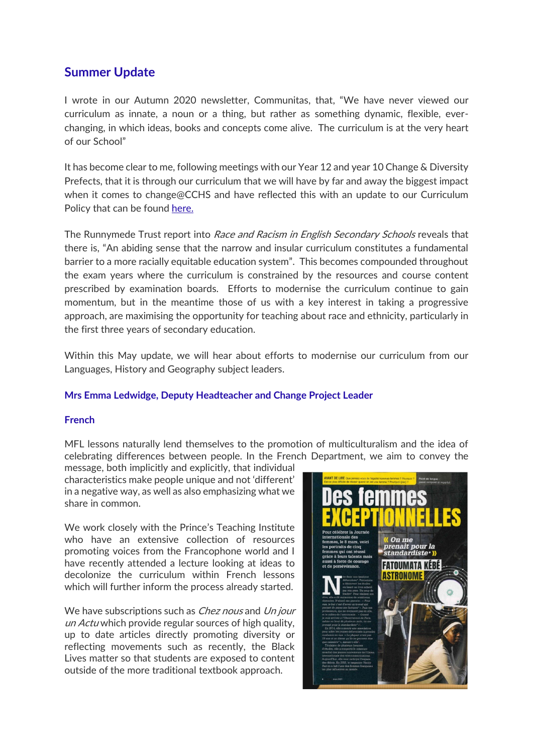# **Summer Update**

I wrote in our Autumn 2020 newsletter, Communitas, that, "We have never viewed our curriculum as innate, a noun or a thing, but rather as something dynamic, flexible, everchanging, in which ideas, books and concepts come alive. The curriculum is at the very heart of our School"

It has become clear to me, following meetings with our Year 12 and year 10 Change & Diversity Prefects, that it is through our curriculum that we will have by far and away the biggest impact when it comes to change@CCHS and have reflected this with an update to our Curriculum Policy that can be found here.

The Runnymede Trust report into Race and Racism in English Secondary Schools reveals that there is, "An abiding sense that the narrow and insular curriculum constitutes a fundamental barrier to a more racially equitable education system". This becomes compounded throughout the exam years where the curriculum is constrained by the resources and course content prescribed by examination boards. Efforts to modernise the curriculum continue to gain momentum, but in the meantime those of us with a key interest in taking a progressive approach, are maximising the opportunity for teaching about race and ethnicity, particularly in the first three years of secondary education.

Within this May update, we will hear about efforts to modernise our curriculum from our Languages, History and Geography subject leaders.

# **Mrs Emma Ledwidge, Deputy Headteacher and Change Project Leader**

# **French**

MFL lessons naturally lend themselves to the promotion of multiculturalism and the idea of celebrating differences between people. In the French Department, we aim to convey the

message, both implicitly and explicitly, that individual characteristics make people unique and not 'different' in a negative way, as well as also emphasizing what we share in common.

We work closely with the Prince's Teaching Institute who have an extensive collection of resources promoting voices from the Francophone world and I have recently attended a lecture looking at ideas to decolonize the curriculum within French lessons which will further inform the process already started.

We have subscriptions such as *Chez nous* and Un jour un Actu which provide regular sources of high quality, up to date articles directly promoting diversity or reflecting movements such as recently, the Black Lives matter so that students are exposed to content outside of the more traditional textbook approach.

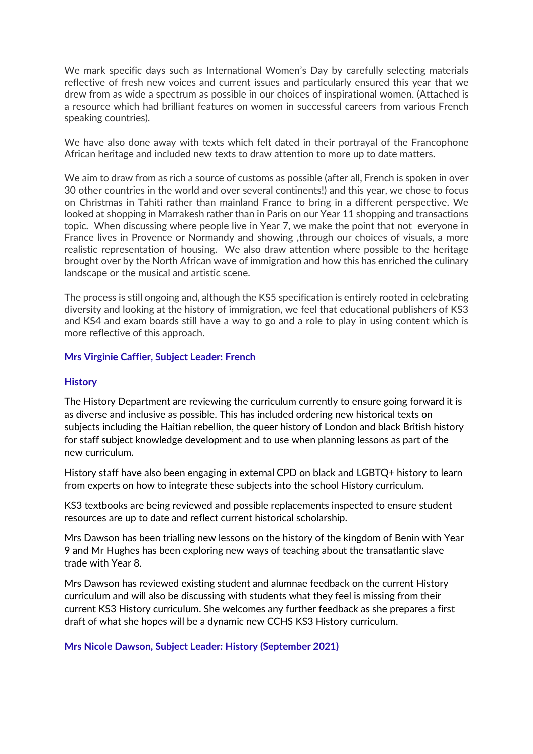We mark specific days such as International Women's Day by carefully selecting materials reflective of fresh new voices and current issues and particularly ensured this year that we drew from as wide a spectrum as possible in our choices of inspirational women. (Attached is a resource which had brilliant features on women in successful careers from various French speaking countries).

We have also done away with texts which felt dated in their portrayal of the Francophone African heritage and included new texts to draw attention to more up to date matters.

We aim to draw from as rich a source of customs as possible (after all, French is spoken in over 30 other countries in the world and over several continents!) and this year, we chose to focus on Christmas in Tahiti rather than mainland France to bring in a different perspective. We looked at shopping in Marrakesh rather than in Paris on our Year 11 shopping and transactions topic. When discussing where people live in Year 7, we make the point that not everyone in France lives in Provence or Normandy and showing ,through our choices of visuals, a more realistic representation of housing. We also draw attention where possible to the heritage brought over by the North African wave of immigration and how this has enriched the culinary landscape or the musical and artistic scene.

The process is still ongoing and, although the KS5 specification is entirely rooted in celebrating diversity and looking at the history of immigration, we feel that educational publishers of KS3 and KS4 and exam boards still have a way to go and a role to play in using content which is more reflective of this approach.

# **Mrs Virginie Caffier, Subject Leader: French**

#### **History**

The History Department are reviewing the curriculum currently to ensure going forward it is as diverse and inclusive as possible. This has included ordering new historical texts on subjects including the Haitian rebellion, the queer history of London and black British history for staff subject knowledge development and to use when planning lessons as part of the new curriculum.

History staff have also been engaging in external CPD on black and LGBTQ+ history to learn from experts on how to integrate these subjects into the school History curriculum.

KS3 textbooks are being reviewed and possible replacements inspected to ensure student resources are up to date and reflect current historical scholarship.

Mrs Dawson has been trialling new lessons on the history of the kingdom of Benin with Year 9 and Mr Hughes has been exploring new ways of teaching about the transatlantic slave trade with Year 8.

Mrs Dawson has reviewed existing student and alumnae feedback on the current History curriculum and will also be discussing with students what they feel is missing from their current KS3 History curriculum. She welcomes any further feedback as she prepares a first draft of what she hopes will be a dynamic new CCHS KS3 History curriculum.

# **Mrs Nicole Dawson, Subject Leader: History (September 2021)**